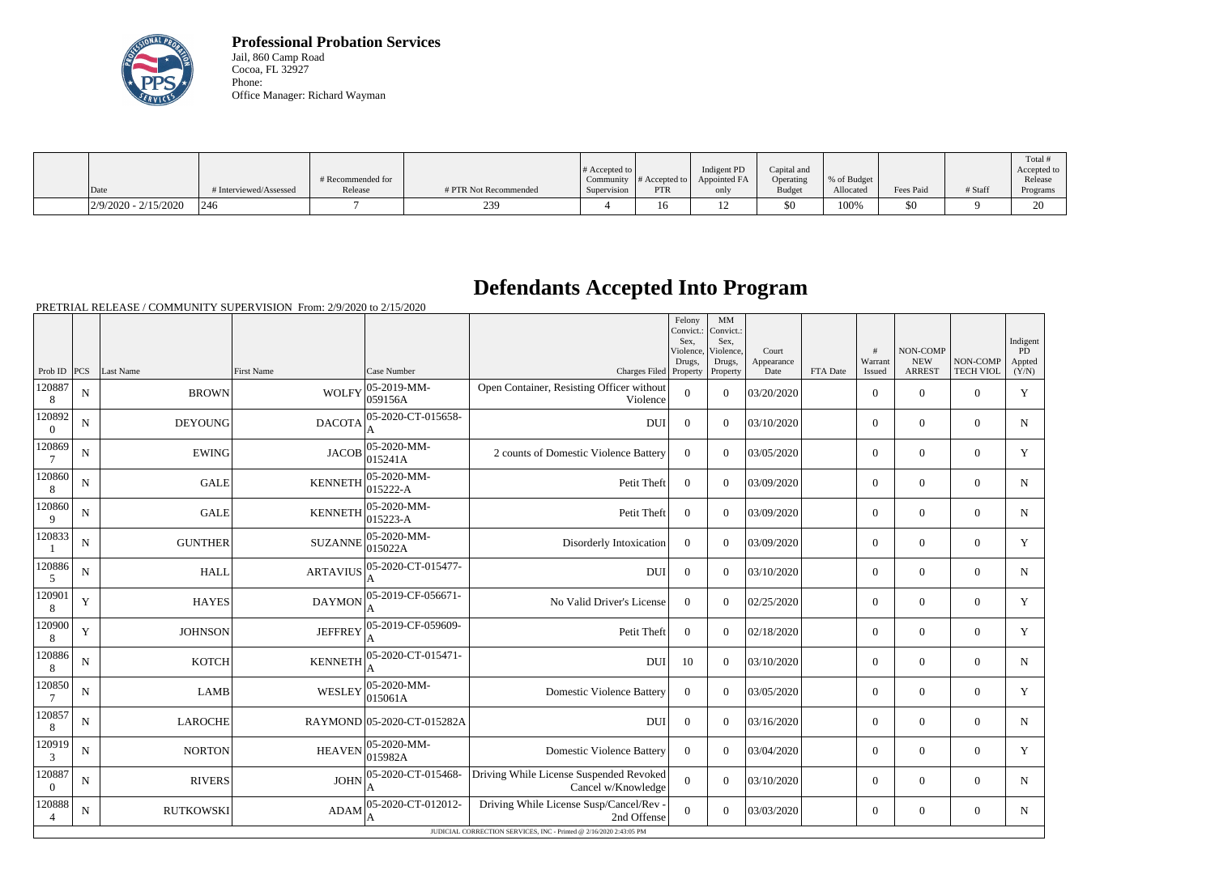

**Professional Probation Services** Jail, 860 Camp Road Cocoa, FL 32927 Phone: Office Manager: Richard Wayman

|                        |                        |                              |                       | $\#$ Accepted to         |                         | Indigent PD          | Capital and                |                          |           |         | Total !<br>Accepted to |
|------------------------|------------------------|------------------------------|-----------------------|--------------------------|-------------------------|----------------------|----------------------------|--------------------------|-----------|---------|------------------------|
| Date                   | # Interviewed/Assessed | # Recommended for<br>Release | # PTR Not Recommended | Community<br>Supervision | $\#$ Accepted to<br>PTR | Appointed FA<br>only | Operating<br><b>Budget</b> | % of Budget<br>Allocated | Fees Paid | # Staff | Release<br>Programs    |
| $2/9/2020 - 2/15/2020$ | 246                    |                              | 239                   |                          | 16                      | $\sqrt{2}$           | \$0                        | 100%                     | 50        |         | $\cap$<br>∠∪           |

## **Defendants Accepted Into Program**

PRETRIAL RELEASE / COMMUNITY SUPERVISION From: 2/9/2020 to 2/15/2020

|                          |             |                  |                   |                             |                                                                    | Felony<br>Convict.:<br>Sex.<br>Violence,<br>Drugs, | MM<br>Convict.:<br>Sex,<br>Violence.<br>Drugs, | Court<br>Appearance |          | #<br>Warrant   | NON-COMP<br><b>NEW</b> | NON-COMP         | Indigent<br>PD<br>Appted |
|--------------------------|-------------|------------------|-------------------|-----------------------------|--------------------------------------------------------------------|----------------------------------------------------|------------------------------------------------|---------------------|----------|----------------|------------------------|------------------|--------------------------|
| Prob ID $ PCS $          |             | Last Name        | <b>First Name</b> | Case Number                 | Charges Filed Property                                             |                                                    | Property                                       | Date                | FTA Date | Issued         | <b>ARREST</b>          | <b>TECH VIOL</b> | (Y/N)                    |
| 120887<br>8              | ${\bf N}$   | <b>BROWN</b>     | <b>WOLFY</b>      | 05-2019-MM-<br>059156A      | Open Container, Resisting Officer without<br>Violence              | $\theta$                                           | $\theta$                                       | 03/20/2020          |          | $\overline{0}$ | $\theta$               | $\overline{0}$   | Y                        |
| 120892<br>$\Omega$       | $\mathbf N$ | <b>DEYOUNG</b>   | <b>DACOTA</b>     | 05-2020-CT-015658-<br>A     | <b>DUI</b>                                                         | $\theta$                                           | $\theta$                                       | 03/10/2020          |          | $\theta$       | $\overline{0}$         | $\theta$         | $\mathbf N$              |
| 120869                   | $\mathbf N$ | <b>EWING</b>     | <b>JACOB</b>      | 05-2020-MM-<br>015241A      | 2 counts of Domestic Violence Battery                              | $\Omega$                                           | $\theta$                                       | 03/05/2020          |          | $\overline{0}$ | $\overline{0}$         | $\overline{0}$   | Y                        |
| 120860<br>8              | $\mathbf N$ | <b>GALE</b>      | <b>KENNETH</b>    | 05-2020-MM-<br>015222-A     | Petit Theft                                                        | $\boldsymbol{0}$                                   | $\overline{0}$                                 | 03/09/2020          |          | $\overline{0}$ | $\mathbf{0}$           | $\overline{0}$   | N                        |
| 120860<br>9              | $\mathbf N$ | <b>GALE</b>      | <b>KENNETH</b>    | 05-2020-MM-<br>$015223 - A$ | Petit Theft                                                        | $\overline{0}$                                     | $\overline{0}$                                 | 03/09/2020          |          | $\overline{0}$ | $\theta$               | $\overline{0}$   | N                        |
| 120833                   | N           | <b>GUNTHER</b>   | <b>SUZANNE</b>    | 05-2020-MM-<br>015022A      | Disorderly Intoxication                                            | $\Omega$                                           | $\overline{0}$                                 | 03/09/2020          |          | $\overline{0}$ | $\mathbf{0}$           | $\theta$         | Y                        |
| 120886<br>5              | $\mathbf N$ | <b>HALL</b>      | <b>ARTAVIUS</b>   | 05-2020-CT-015477-          | <b>DUI</b>                                                         | $\theta$                                           | $\theta$                                       | 03/10/2020          |          | $\overline{0}$ | $\theta$               | $\overline{0}$   | $\mathbf N$              |
| 120901<br>8              | $\mathbf Y$ | <b>HAYES</b>     | <b>DAYMON</b>     | 05-2019-CF-056671-<br>A     | No Valid Driver's License                                          | $\theta$                                           | $\theta$                                       | 02/25/2020          |          | $\overline{0}$ | $\theta$               | $\overline{0}$   | Y                        |
| 120900<br>8              | Y           | <b>JOHNSON</b>   | <b>JEFFREY</b>    | 05-2019-CF-059609-<br>A     | Petit Theft                                                        | $\theta$                                           | $\theta$                                       | 02/18/2020          |          | $\theta$       | $\Omega$               | $\theta$         | Y                        |
| 120886<br>8              | $\mathbf N$ | <b>KOTCH</b>     | <b>KENNETH</b>    | 05-2020-CT-015471-          | <b>DUI</b>                                                         | 10                                                 | $\Omega$                                       | 03/10/2020          |          | $\overline{0}$ | $\mathbf{0}$           | $\overline{0}$   | N                        |
| 120850                   | $\mathbf N$ | <b>LAMB</b>      | WESLEY            | 05-2020-MM-<br> 015061A     | <b>Domestic Violence Battery</b>                                   | $\Omega$                                           | $\Omega$                                       | 03/05/2020          |          | $\overline{0}$ | $\mathbf{0}$           | $\overline{0}$   | Y                        |
| 120857<br>8              | ${\bf N}$   | <b>LAROCHE</b>   |                   | RAYMOND 05-2020-CT-015282A  | <b>DUI</b>                                                         | $\mathbf{0}$                                       | $\overline{0}$                                 | 03/16/2020          |          | $\Omega$       | $\mathbf{0}$           | $\theta$         | ${\bf N}$                |
| 120919<br>3              | $\mathbf N$ | <b>NORTON</b>    | <b>HEAVEN</b>     | 05-2020-MM-<br>015982A      | <b>Domestic Violence Battery</b>                                   | $\theta$                                           | $\theta$                                       | 03/04/2020          |          | $\overline{0}$ | $\mathbf{0}$           | $\theta$         | Y                        |
| 120887<br>$\overline{0}$ | N           | <b>RIVERS</b>    | <b>JOHN</b>       | 05-2020-CT-015468-          | Driving While License Suspended Revoked<br>Cancel w/Knowledge      | $\overline{0}$                                     | $\theta$                                       | 03/10/2020          |          | $\overline{0}$ | $\theta$               | $\overline{0}$   | $\mathbf N$              |
| 120888<br>4              | N           | <b>RUTKOWSKI</b> | ADAM              | 05-2020-CT-012012-<br>A     | Driving While License Susp/Cancel/Rev -<br>2nd Offense             | $\Omega$                                           | $\overline{0}$                                 | 03/03/2020          |          | $\overline{0}$ | $\overline{0}$         | $\overline{0}$   | N                        |
|                          |             |                  |                   |                             | JUDICIAL CORRECTION SERVICES, INC - Printed @ 2/16/2020 2:43:05 PM |                                                    |                                                |                     |          |                |                        |                  |                          |